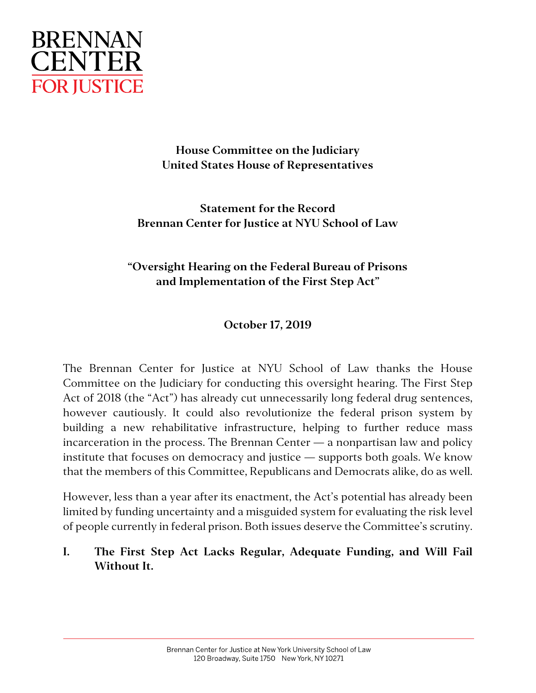

# **House Committee on the Judiciary United States House of Representatives**

**Statement for the Record Brennan Center for Justice at NYU School of Law**

# **"Oversight Hearing on the Federal Bureau of Prisons and Implementation of the First Step Act"**

# **October 17, 2019**

The Brennan Center for Justice at NYU School of Law thanks the House Committee on the Judiciary for conducting this oversight hearing. The First Step Act of 2018 (the "Act") has already cut unnecessarily long federal drug sentences, however cautiously. It could also revolutionize the federal prison system by building a new rehabilitative infrastructure, helping to further reduce mass incarceration in the process. The Brennan Center — a nonpartisan law and policy institute that focuses on democracy and justice — supports both goals. We know that the members of this Committee, Republicans and Democrats alike, do as well.

However, less than a year after its enactment, the Act's potential has already been limited by funding uncertainty and a misguided system for evaluating the risk level of people currently in federal prison. Both issues deserve the Committee's scrutiny.

**I. The First Step Act Lacks Regular, Adequate Funding, and Will Fail Without It.**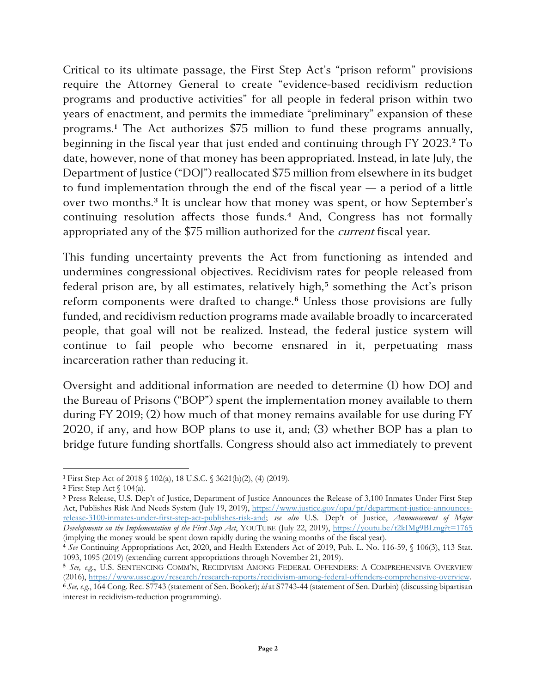Critical to its ultimate passage, the First Step Act's "prison reform" provisions require the Attorney General to create "evidence-based recidivism reduction programs and productive activities" for all people in federal prison within two years of enactment, and permits the immediate "preliminary" expansion of these programs.**[1](#page-1-0)** The Act authorizes \$75 million to fund these programs annually, beginning in the fiscal year that just ended and continuing through FY 2023.**[2](#page-1-1)** To date, however, none of that money has been appropriated. Instead, in late July, the Department of Justice ("DOJ") reallocated \$75 million from elsewhere in its budget to fund implementation through the end of the fiscal year — a period of a little over two months.**[3](#page-1-2)** It is unclear how that money was spent, or how September's continuing resolution affects those funds.**[4](#page-1-3)** And, Congress has not formally appropriated any of the \$75 million authorized for the *current* fiscal year.

This funding uncertainty prevents the Act from functioning as intended and undermines congressional objectives. Recidivism rates for people released from federal prison are, by all estimates, relatively high,**[5](#page-1-4)** something the Act's prison reform components were drafted to change.**[6](#page-1-5)** Unless those provisions are fully funded, and recidivism reduction programs made available broadly to incarcerated people, that goal will not be realized. Instead, the federal justice system will continue to fail people who become ensnared in it, perpetuating mass incarceration rather than reducing it.

Oversight and additional information are needed to determine (1) how DOJ and the Bureau of Prisons ("BOP") spent the implementation money available to them during FY 2019; (2) how much of that money remains available for use during FY 2020, if any, and how BOP plans to use it, and; (3) whether BOP has a plan to bridge future funding shortfalls. Congress should also act immediately to prevent

<span id="page-1-0"></span>**<sup>1</sup>** First Step Act of 2018 § 102(a), 18 U.S.C. § 3621(h)(2), (4) (2019).

<span id="page-1-1"></span>**<sup>2</sup>** First Step Act § 104(a).

<span id="page-1-2"></span>**<sup>3</sup>** Press Release, U.S. Dep't of Justice, Department of Justice Announces the Release of 3,100 Inmates Under First Step Act, Publishes Risk And Needs System (July 19, 2019), [https://www.justice.gov/opa/pr/department-justice-announces](https://www.justice.gov/opa/pr/department-justice-announces-release-3100-inmates-under-first-step-act-publishes-risk-and)[release-3100-inmates-under-first-step-act-publishes-risk-and;](https://www.justice.gov/opa/pr/department-justice-announces-release-3100-inmates-under-first-step-act-publishes-risk-and) *see also* U.S. Dep't of Justice, *Announcement of Major Developments on the Implementation of the First Step Act*, YOUTUBE (July 22, 2019),<https://youtu.be/t2kIMg9BLmg?t=1765> (implying the money would be spent down rapidly during the waning months of the fiscal year).

<span id="page-1-3"></span>**<sup>4</sup>** *See* Continuing Appropriations Act, 2020, and Health Extenders Act of 2019, Pub. L. No. 116-59, § 106(3), 113 Stat. 1093, 1095 (2019) (extending current appropriations through November 21, 2019).

<span id="page-1-4"></span>**<sup>5</sup>** *See, e.g.*, U.S. SENTENCING COMM'N, RECIDIVISM AMONG FEDERAL OFFENDERS: A COMPREHENSIVE OVERVIEW (2016), [https://www.ussc.gov/research/research-reports/recidivism-among-federal-offenders-comprehensive-overview.](https://www.ussc.gov/research/research-reports/recidivism-among-federal-offenders-comprehensive-overview) 

<span id="page-1-5"></span>**<sup>6</sup>** *See, e.g.*, 164 Cong. Rec. S7743 (statement of Sen. Booker); *id* at S7743-44 (statement of Sen. Durbin) (discussing bipartisan interest in recidivism-reduction programming).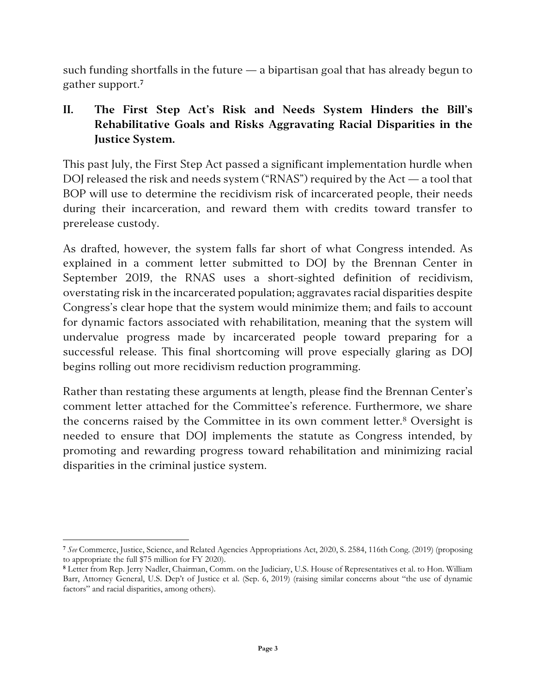such funding shortfalls in the future — a bipartisan goal that has already begun to gather support.**[7](#page-2-0)**

# **II. The First Step Act's Risk and Needs System Hinders the Bill's Rehabilitative Goals and Risks Aggravating Racial Disparities in the Justice System.**

This past July, the First Step Act passed a significant implementation hurdle when DOJ released the risk and needs system ("RNAS") required by the Act — a tool that BOP will use to determine the recidivism risk of incarcerated people, their needs during their incarceration, and reward them with credits toward transfer to prerelease custody.

As drafted, however, the system falls far short of what Congress intended. As explained in a comment letter submitted to DOJ by the Brennan Center in September 2019, the RNAS uses a short-sighted definition of recidivism, overstating risk in the incarcerated population; aggravates racial disparities despite Congress's clear hope that the system would minimize them; and fails to account for dynamic factors associated with rehabilitation, meaning that the system will undervalue progress made by incarcerated people toward preparing for a successful release. This final shortcoming will prove especially glaring as DOJ begins rolling out more recidivism reduction programming.

Rather than restating these arguments at length, please find the Brennan Center's comment letter attached for the Committee's reference. Furthermore, we share the concerns raised by the Committee in its own comment letter.<sup>[8](#page-2-1)</sup> Oversight is needed to ensure that DOJ implements the statute as Congress intended, by promoting and rewarding progress toward rehabilitation and minimizing racial disparities in the criminal justice system.

<span id="page-2-0"></span>**<sup>7</sup>** *See* Commerce, Justice, Science, and Related Agencies Appropriations Act, 2020, S. 2584, 116th Cong. (2019) (proposing to appropriate the full \$75 million for FY 2020).

<span id="page-2-1"></span>**<sup>8</sup>** Letter from Rep. Jerry Nadler, Chairman, Comm. on the Judiciary, U.S. House of Representatives et al. to Hon. William Barr, Attorney General, U.S. Dep't of Justice et al. (Sep. 6, 2019) (raising similar concerns about "the use of dynamic factors" and racial disparities, among others).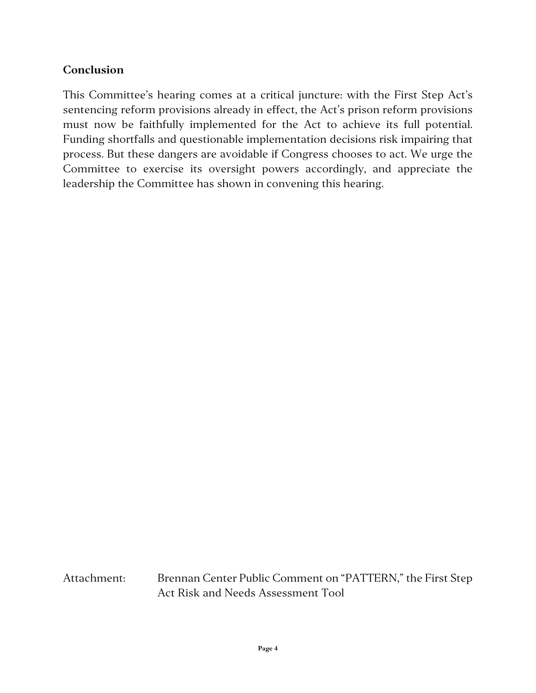## **Conclusion**

This Committee's hearing comes at a critical juncture: with the First Step Act's sentencing reform provisions already in effect, the Act's prison reform provisions must now be faithfully implemented for the Act to achieve its full potential. Funding shortfalls and questionable implementation decisions risk impairing that process. But these dangers are avoidable if Congress chooses to act. We urge the Committee to exercise its oversight powers accordingly, and appreciate the leadership the Committee has shown in convening this hearing.

Attachment: Brennan Center Public Comment on "PATTERN," the First Step Act Risk and Needs Assessment Tool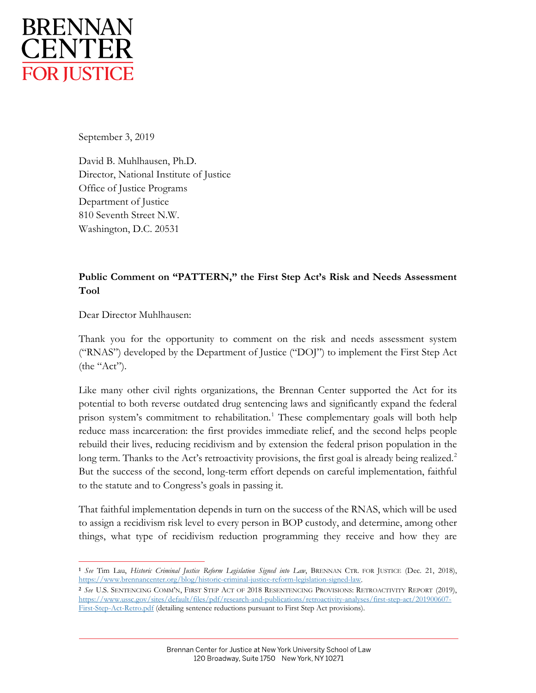

September 3, 2019

David B. Muhlhausen, Ph.D. Director, National Institute of Justice Office of Justice Programs Department of Justice 810 Seventh Street N.W. Washington, D.C. 20531

#### **Public Comment on "PATTERN," the First Step Act's Risk and Needs Assessment Tool**

Dear Director Muhlhausen:

Thank you for the opportunity to comment on the risk and needs assessment system ("RNAS") developed by the Department of Justice ("DOJ") to implement the First Step Act (the "Act").

Like many other civil rights organizations, the Brennan Center supported the Act for its potential to both reverse outdated drug sentencing laws and significantly expand the federal prison system's commitment to rehabilitation.<sup>[1](#page-4-0)</sup> These complementary goals will both help reduce mass incarceration: the first provides immediate relief, and the second helps people rebuild their lives, reducing recidivism and by extension the federal prison population in the long term. Thanks to the Act's retroactivity provisions, the first goal is already being realized.<sup>[2](#page-4-1)</sup> But the success of the second, long-term effort depends on careful implementation, faithful to the statute and to Congress's goals in passing it.

That faithful implementation depends in turn on the success of the RNAS, which will be used to assign a recidivism risk level to every person in BOP custody, and determine, among other things, what type of recidivism reduction programming they receive and how they are

<span id="page-4-1"></span>**<sup>2</sup>** *See* U.S. SENTENCING COMM'N, FIRST STEP ACT OF 2018 RESENTENCING PROVISIONS: RETROACTIVITY REPORT (2019), [https://www.ussc.gov/sites/default/files/pdf/research-and-publications/retroactivity-analyses/first-step-act/201900607-](https://www.ussc.gov/sites/default/files/pdf/research-and-publications/retroactivity-analyses/first-step-act/201900607-First-Step-Act-Retro.pdf) [First-Step-Act-Retro.pdf](https://www.ussc.gov/sites/default/files/pdf/research-and-publications/retroactivity-analyses/first-step-act/201900607-First-Step-Act-Retro.pdf) (detailing sentence reductions pursuant to First Step Act provisions).

<span id="page-4-0"></span>**<sup>1</sup>** *See* Tim Lau, *Historic Criminal Justice Reform Legislation Signed into Law*, BRENNAN CTR. FOR JUSTICE (Dec. 21, 2018), [https://www.brennancenter.org/blog/historic-criminal-justice-reform-legislation-signed-law.](https://www.brennancenter.org/blog/historic-criminal-justice-reform-legislation-signed-law)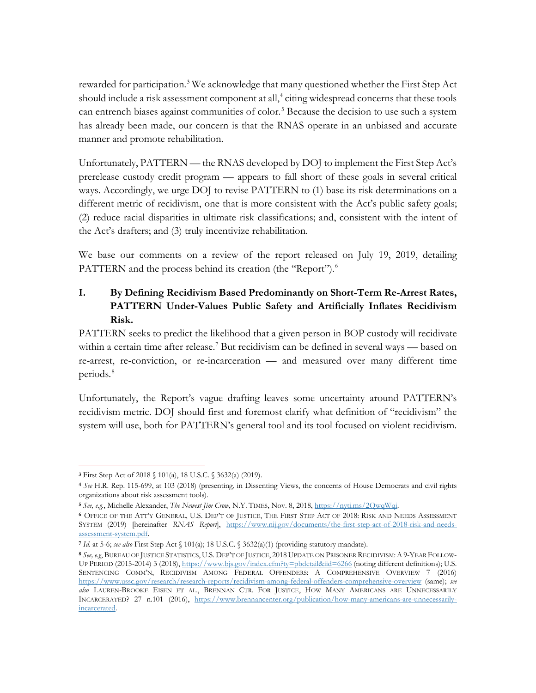rewarded for participation.<sup>[3](#page-5-0)</sup> We acknowledge that many questioned whether the First Step Act should include a risk assessment component at all,<sup>[4](#page-5-1)</sup> citing widespread concerns that these tools can entrench biases against communities of color.<sup>[5](#page-5-2)</sup> Because the decision to use such a system has already been made, our concern is that the RNAS operate in an unbiased and accurate manner and promote rehabilitation.

Unfortunately, PATTERN — the RNAS developed by DOJ to implement the First Step Act's prerelease custody credit program — appears to fall short of these goals in several critical ways. Accordingly, we urge DOJ to revise PATTERN to (1) base its risk determinations on a different metric of recidivism, one that is more consistent with the Act's public safety goals; (2) reduce racial disparities in ultimate risk classifications; and, consistent with the intent of the Act's drafters; and (3) truly incentivize rehabilitation.

We base our comments on a review of the report released on July 19, 2019, detailing PATTERN and the process behind its creation (the "Report").<sup>[6](#page-5-3)</sup>

### **I. By Defining Recidivism Based Predominantly on Short-Term Re-Arrest Rates, PATTERN Under-Values Public Safety and Artificially Inflates Recidivism Risk.**

PATTERN seeks to predict the likelihood that a given person in BOP custody will recidivate within a certain time after release.<sup>[7](#page-5-4)</sup> But recidivism can be defined in several ways — based on re-arrest, re-conviction, or re-incarceration — and measured over many different time periods.[8](#page-5-5)

Unfortunately, the Report's vague drafting leaves some uncertainty around PATTERN's recidivism metric. DOJ should first and foremost clarify what definition of "recidivism" the system will use, both for PATTERN's general tool and its tool focused on violent recidivism.

<span id="page-5-0"></span>**<sup>3</sup>** First Step Act of 2018 § 101(a), 18 U.S.C. § 3632(a) (2019).

<span id="page-5-1"></span>**<sup>4</sup>** *See* H.R. Rep. 115-699, at 103 (2018) (presenting, in Dissenting Views, the concerns of House Democrats and civil rights organizations about risk assessment tools).

<span id="page-5-2"></span>**<sup>5</sup>** *See, e.g.*, Michelle Alexander, *The Newest Jim Crow*, N.Y. TIMES, Nov. 8, 2018, [https://nyti.ms/2QwqWqi.](https://nyti.ms/2QwqWqi) 

<span id="page-5-3"></span>**<sup>6</sup>** OFFICE OF THE ATT'Y GENERAL, U.S. DEP'T OF JUSTICE, THE FIRST STEP ACT OF 2018: RISK AND NEEDS ASSESSMENT SYSTEM (2019) [hereinafter *RNAS Report*], [https://www.nij.gov/documents/the-first-step-act-of-2018-risk-and-needs](https://www.nij.gov/documents/the-first-step-act-of-2018-risk-and-needs-assessment-system.pdf)[assessment-system.pdf.](https://www.nij.gov/documents/the-first-step-act-of-2018-risk-and-needs-assessment-system.pdf)

<span id="page-5-4"></span>**<sup>7</sup>** *Id.* at 5-6; *see also* First Step Act § 101(a); 18 U.S.C. § 3632(a)(1) (providing statutory mandate).

<span id="page-5-5"></span>**<sup>8</sup>** *See, e.g*, BUREAU OF JUSTICE STATISTICS, U.S. DEP'T OF JUSTICE, 2018 UPDATE ON PRISONER RECIDIVISM:A9-YEAR FOLLOWUP PERIOD (2015-2014) 3 (2018),<https://www.bjs.gov/index.cfm?ty=pbdetail&iid=6266> (noting different definitions); U.S. SENTENCING COMM'N, RECIDIVISM AMONG FEDERAL OFFENDERS: A COMPREHENSIVE OVERVIEW 7 (2016) <https://www.ussc.gov/research/research-reports/recidivism-among-federal-offenders-comprehensive-overview> (same); *see also* LAUREN-BROOKE EISEN ET AL., BRENNAN CTR. FOR JUSTICE, HOW MANY AMERICANS ARE UNNECESSARILY INCARCERATED? 27 n.101 (2016), [https://www.brennancenter.org/publication/how-many-americans-are-unnecessarily](https://www.brennancenter.org/publication/how-many-americans-are-unnecessarily-incarcerated)[incarcerated.](https://www.brennancenter.org/publication/how-many-americans-are-unnecessarily-incarcerated)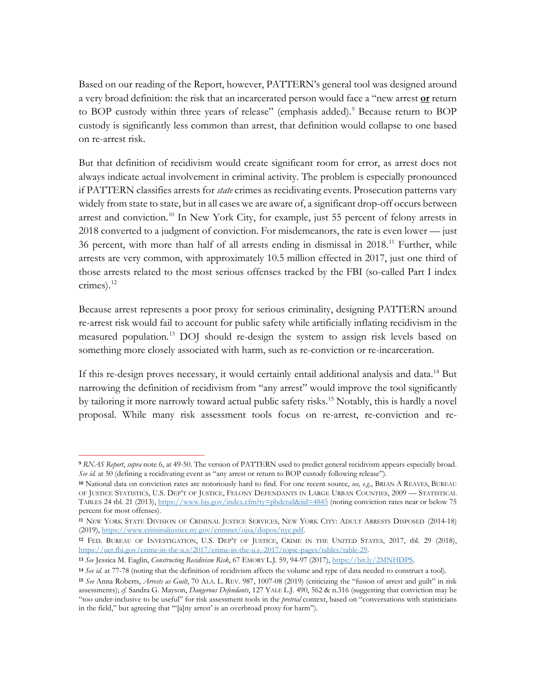Based on our reading of the Report, however, PATTERN's general tool was designed around a very broad definition: the risk that an incarcerated person would face a "new arrest **or** return to BOP custody within three years of release" (emphasis added).<sup>[9](#page-6-0)</sup> Because return to BOP custody is significantly less common than arrest, that definition would collapse to one based on re-arrest risk.

But that definition of recidivism would create significant room for error, as arrest does not always indicate actual involvement in criminal activity. The problem is especially pronounced if PATTERN classifies arrests for *state* crimes as recidivating events. Prosecution patterns vary widely from state to state, but in all cases we are aware of, a significant drop-off occurs between arrest and conviction.<sup>[10](#page-6-1)</sup> In New York City, for example, just 55 percent of felony arrests in 2018 converted to a judgment of conviction. For misdemeanors, the rate is even lower — just 36 percent, with more than half of all arrests ending in dismissal in 2018.<sup>[11](#page-6-2)</sup> Further, while arrests are very common, with approximately 10.5 million effected in 2017, just one third of those arrests related to the most serious offenses tracked by the FBI (so-called Part I index crimes). $^{12}$  $^{12}$  $^{12}$ 

Because arrest represents a poor proxy for serious criminality, designing PATTERN around re-arrest risk would fail to account for public safety while artificially inflating recidivism in the measured population.[13](#page-6-4) DOJ should re-design the system to assign risk levels based on something more closely associated with harm, such as re-conviction or re-incarceration.

If this re-design proves necessary, it would certainly entail additional analysis and data.<sup>[14](#page-6-5)</sup> But narrowing the definition of recidivism from "any arrest" would improve the tool significantly by tailoring it more narrowly toward actual public safety risks.<sup>[15](#page-6-6)</sup> Notably, this is hardly a novel proposal. While many risk assessment tools focus on re-arrest, re-conviction and re-

<span id="page-6-0"></span>**<sup>9</sup>** *RNAS Report*, *supra* note 6, at 49-50. The version of PATTERN used to predict general recidivism appears especially broad. *See id.* at 50 (defining a recidivating event as "any arrest or return to BOP custody following release").

<span id="page-6-1"></span>**<sup>10</sup>** National data on conviction rates are notoriously hard to find. For one recent source, *see, e.g.*, BRIAN A REAVES, BUREAU OF JUSTICE STATISTICS, U.S. DEP'T OF JUSTICE, FELONY DEFENDANTS IN LARGE URBAN COUNTIES, 2009 — STATISTICAL TABLES 24 tbl. 21 (2013),<https://www.bjs.gov/index.cfm?ty=pbdetail&iid=4845> (noting conviction rates near or below 75 percent for most offenses).

<span id="page-6-2"></span>**<sup>11</sup>** NEW YORK STATE DIVISION OF CRIMINAL JUSTICE SERVICES, NEW YORK CITY: ADULT ARRESTS DISPOSED (2014-18) (2019)[, https://www.criminaljustice.ny.gov/crimnet/ojsa/dispos/nyc.pdf.](https://www.criminaljustice.ny.gov/crimnet/ojsa/dispos/nyc.pdf)

<span id="page-6-3"></span>**<sup>12</sup>** FED. BUREAU OF INVESTIGATION, U.S. DEP'T OF JUSTICE, CRIME IN THE UNITED STATES, 2017, tbl. 29 (2018), [https://ucr.fbi.gov/crime-in-the-u.s/2017/crime-in-the-u.s.-2017/topic-pages/tables/table-29.](https://ucr.fbi.gov/crime-in-the-u.s/2017/crime-in-the-u.s.-2017/topic-pages/tables/table-29)

<span id="page-6-4"></span>**<sup>13</sup>** *See* Jessica M. Eaglin, *Constructing Recidivism Risk*, 67 EMORY L.J. 59, 94-97 (2017), [https://bit.ly/2MNHDPS.](https://bit.ly/2MNHDPS)

<span id="page-6-6"></span><span id="page-6-5"></span>**<sup>14</sup>** *See id.* at 77-78 (noting that the definition of recidivism affects the volume and type of data needed to construct a tool). **<sup>15</sup>** *See* Anna Roberts, *Arrests as Guilt*, 70 ALA. L. REV. 987, 1007-08 (2019) (criticizing the "fusion of arrest and guilt" in risk assessments); *cf.* Sandra G. Mayson, *Dangerous Defendants*, 127 YALE L.J. 490, 562 & n.316 (suggesting that conviction may be "too under-inclusive to be useful" for risk assessment tools in the *pretrial* context, based on "conversations with statisticians in the field," but agreeing that '"[a]ny arrest' is an overbroad proxy for harm").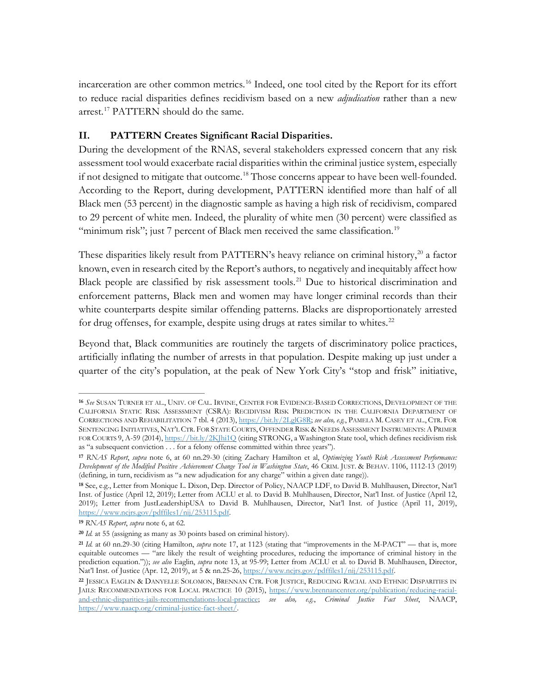incarceration are other common metrics.<sup>[16](#page-7-0)</sup> Indeed, one tool cited by the Report for its effort to reduce racial disparities defines recidivism based on a new *adjudication* rather than a new arrest.<sup>[17](#page-7-1)</sup> PATTERN should do the same.

#### **II. PATTERN Creates Significant Racial Disparities.**

During the development of the RNAS, several stakeholders expressed concern that any risk assessment tool would exacerbate racial disparities within the criminal justice system, especially if not designed to mitigate that outcome.<sup>[18](#page-7-2)</sup> Those concerns appear to have been well-founded. According to the Report, during development, PATTERN identified more than half of all Black men (53 percent) in the diagnostic sample as having a high risk of recidivism, compared to 29 percent of white men. Indeed, the plurality of white men (30 percent) were classified as "minimum risk"; just 7 percent of Black men received the same classification.<sup>[19](#page-7-3)</sup>

These disparities likely result from PATTERN's heavy reliance on criminal history,<sup>[20](#page-7-4)</sup> a factor known, even in research cited by the Report's authors, to negatively and inequitably affect how Black people are classified by risk assessment tools.<sup>[21](#page-7-5)</sup> Due to historical discrimination and enforcement patterns, Black men and women may have longer criminal records than their white counterparts despite similar offending patterns. Blacks are disproportionately arrested for drug offenses, for example, despite using drugs at rates similar to whites.<sup>[22](#page-7-6)</sup>

Beyond that, Black communities are routinely the targets of discriminatory police practices, artificially inflating the number of arrests in that population. Despite making up just under a quarter of the city's population, at the peak of New York City's "stop and frisk" initiative,

<span id="page-7-0"></span>**<sup>16</sup>** *See* SUSAN TURNER ET AL., UNIV. OF CAL. IRVINE, CENTER FOR EVIDENCE-BASED CORRECTIONS, DEVELOPMENT OF THE CALIFORNIA STATIC RISK ASSESSMENT (CSRA): RECIDIVISM RISK PREDICTION IN THE CALIFORNIA DEPARTMENT OF CORRECTIONS AND REHABILITATION 7 tbl. 4 (2013), [https://bit.ly/2LglG8R;](https://bit.ly/2LglG8R) *see also, e.g.*, PAMELA M. CASEY ET AL., CTR. FOR SENTENCING INITIATIVES, NAT'L CTR. FOR STATE COURTS, OFFENDER RISK & NEEDS ASSESSMENT INSTRUMENTS: A PRIMER FOR COURTS 9, A-59 (2014)[, https://bit.ly/2KJhi1Q](https://bit.ly/2KJhi1Q) (citing STRONG, a Washington State tool, which defines recidivism risk as "a subsequent conviction . . . for a felony offense committed within three years").

<span id="page-7-1"></span>**<sup>17</sup>** *RNAS Report*, *supra* note 6, at 60 nn.29-30 (citing Zachary Hamilton et al, *Optimizing Youth Risk Assessment Performance: Development of the Modified Positive Achievement Change Tool in Washington State*, 46 CRIM. JUST. & BEHAV. 1106, 1112-13 (2019) (defining, in turn, recidivism as "a new adjudication for any charge" within a given date range)).

<span id="page-7-2"></span>**<sup>18</sup>** See, e.g., Letter from Monique L. Dixon, Dep. Director of Policy, NAACP LDF, to David B. Muhlhausen, Director, Nat'l Inst. of Justice (April 12, 2019); Letter from ACLU et al. to David B. Muhlhausen, Director, Nat'l Inst. of Justice (April 12, 2019); Letter from JustLeadershipUSA to David B. Muhlhausen, Director, Nat'l Inst. of Justice (April 11, 2019), [https://www.ncjrs.gov/pdffiles1/nij/253115.pdf.](https://www.ncjrs.gov/pdffiles1/nij/253115.pdf) 

<span id="page-7-3"></span>**<sup>19</sup>** *RNAS Report*, *supra* note 6, at 62.

<span id="page-7-4"></span>**<sup>20</sup>** *Id.* at 55 (assigning as many as 30 points based on criminal history).

<span id="page-7-5"></span>**<sup>21</sup>** *Id.* at 60 nn.29-30 (citing Hamilton, *supra* note 17, at 1123 (stating that "improvements in the M-PACT" — that is, more equitable outcomes — "are likely the result of weighting procedures, reducing the importance of criminal history in the prediction equation.")); *see also* Eaglin, *supra* note 13, at 95-99; Letter from ACLU et al. to David B. Muhlhausen, Director, Nat'l Inst. of Justice (Apr. 12, 2019), at 5 & nn.25-26, https://www.ncjrs.gov/pdffiles1/nij/253115.pdf.

<span id="page-7-6"></span>**<sup>22</sup>** JESSICA EAGLIN & DANYELLE SOLOMON, BRENNAN CTR. FOR JUSTICE, REDUCING RACIAL AND ETHNIC DISPARITIES IN JAILS: RECOMMENDATIONS FOR LOCAL PRACTICE 10 (2015), [https://www.brennancenter.org/publication/reducing-racial](https://www.brennancenter.org/publication/reducing-racial-and-ethnic-disparities-jails-recommendations-local-practice)[and-ethnic-disparities-jails-recommendations-local-practice;](https://www.brennancenter.org/publication/reducing-racial-and-ethnic-disparities-jails-recommendations-local-practice) *see also, e.g.*, *Criminal Justice Fact Sheet*, NAACP, [https://www.naacp.org/criminal-justice-fact-sheet/.](https://www.naacp.org/criminal-justice-fact-sheet/)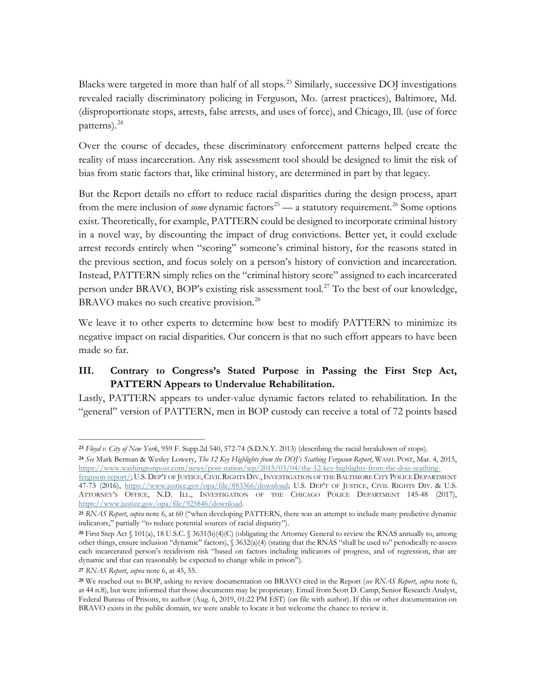Blacks were targeted in more than half of all stops.<sup>[23](#page-8-0)</sup> Similarly, successive DOJ investigations revealed racially discriminatory policing in Ferguson, Mo. (arrest practices), Baltimore, Md. (disproportionate stops, arrests, false arrests, and uses of force), and Chicago, Ill. (use of force patterns).<sup>[24](#page-8-1)</sup>

Over the course of decades, these discriminatory enforcement patterns helped create the reality of mass incarceration. Any risk assessment tool should be designed to limit the risk of bias from static factors that, like criminal history, are determined in part by that legacy.

But the Report details no effort to reduce racial disparities during the design process, apart from the mere inclusion of *some* dynamic factors<sup>[25](#page-8-2)</sup> — a statutory requirement.<sup>[26](#page-8-3)</sup> Some options exist. Theoretically, for example, PATTERN could be designed to incorporate criminal history in a novel way, by discounting the impact of drug convictions. Better yet, it could exclude arrest records entirely when "scoring" someone's criminal history, for the reasons stated in the previous section, and focus solely on a person's history of conviction and incarceration. Instead, PATTERN simply relies on the "criminal history score" assigned to each incarcerated person under BRAVO, BOP's existing risk assessment tool.<sup>[27](#page-8-4)</sup> To the best of our knowledge, BRAVO makes no such creative provision.<sup>[28](#page-8-5)</sup>

We leave it to other experts to determine how best to modify PATTERN to minimize its negative impact on racial disparities. Our concern is that no such effort appears to have been made so far.

#### **III. Contrary to Congress's Stated Purpose in Passing the First Step Act, PATTERN Appears to Undervalue Rehabilitation.**

Lastly, PATTERN appears to under-value dynamic factors related to rehabilitation. In the "general" version of PATTERN, men in BOP custody can receive a total of 72 points based

<span id="page-8-0"></span>**<sup>23</sup>** *Floyd v. City of New York*, 959 F. Supp.2d 540, 572-74 (S.D.N.Y. 2013) (describing the racial breakdown of stops).

<span id="page-8-1"></span>**<sup>24</sup>** *See* Mark Berman & Wesley Lowery, *The 12 Key Highlights from the DOJ's Scathing Ferguson Report*, WASH. POST, Mar. 4, 2015, [https://www.washingtonpost.com/news/post-nation/wp/2015/03/04/the-12-key-highlights-from-the-dojs-scathing-](https://www.washingtonpost.com/news/post-nation/wp/2015/03/04/the-12-key-highlights-from-the-dojs-scathing-ferguson-report/)

[ferguson-report/;](https://www.washingtonpost.com/news/post-nation/wp/2015/03/04/the-12-key-highlights-from-the-dojs-scathing-ferguson-report/) U.S.DEP'T OF JUSTICE,CIVIL RIGHTS DIV.,INVESTIGATION OF THE BALTIMORE CITY POLICE DEPARTMENT 47-73 (2016), [https://www.justice.gov/opa/file/883366/download;](https://www.justice.gov/opa/file/883366/download) U.S. DEP'T OF JUSTICE, CIVIL RIGHTS DIV. & U.S. ATTORNEY'S OFFICE, N.D. ILL., INVESTIGATION OF THE CHICAGO POLICE DEPARTMENT 145-48 (2017), [https://www.justice.gov/opa/file/925846/download.](https://www.justice.gov/opa/file/925846/download)

<span id="page-8-2"></span>**<sup>25</sup>** *RNAS Report*, *supra* note 6, at 60 ("when developing PATTERN, there was an attempt to include many predictive dynamic indicators," partially "to reduce potential sources of racial disparity").

<span id="page-8-3"></span>**<sup>26</sup>** First Step Act § 101(a), 18 U.S.C. § 3631(b)(4)(C) (obligating the Attorney General to review the RNAS annually to, among other things, ensure inclusion "dynamic" factors), § 3632(a)(4) (stating that the RNAS "shall be used to" periodically re-assess each incarcerated person's recidivism risk "based on factors including indicators of progress, and of regression, that are dynamic and that can reasonably be expected to change while in prison").

<span id="page-8-4"></span>**<sup>27</sup>** *RNAS Report*, *supra* note 6, at 45, 55.

<span id="page-8-5"></span>**<sup>28</sup>** We reached out to BOP, asking to review documentation on BRAVO cited in the Report (*see RNAS Report*, *supra* note 6, at 44 n.8), but were informed that those documents may be proprietary. Email from Scott D. Camp, Senior Research Analyst, Federal Bureau of Prisons, to author (Aug. 6, 2019, 01:22 PM EST) (on file with author). If this or other documentation on BRAVO exists in the public domain, we were unable to locate it but welcome the chance to review it.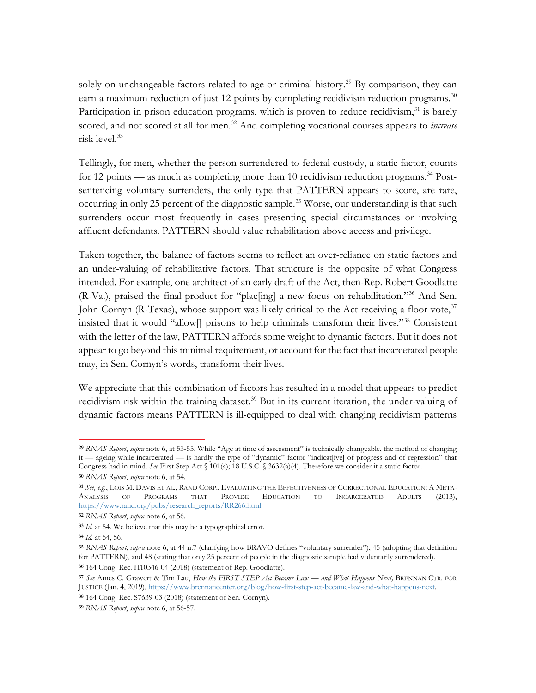solely on unchangeable factors related to age or criminal history.<sup>[29](#page-9-0)</sup> By comparison, they can earn a maximum reduction of just 12 points by completing recidivism reduction programs.<sup>[30](#page-9-1)</sup> Participation in prison education programs, which is proven to reduce recidivism, $31$  is barely scored, and not scored at all for men.<sup>[32](#page-9-3)</sup> And completing vocational courses appears to *increase* risk level.<sup>[33](#page-9-4)</sup>

Tellingly, for men, whether the person surrendered to federal custody, a static factor, counts for 12 points — as much as completing more than 10 recidivism reduction programs.<sup>[34](#page-9-5)</sup> Postsentencing voluntary surrenders, the only type that PATTERN appears to score, are rare, occurring in only 25 percent of the diagnostic sample.<sup>[35](#page-9-6)</sup> Worse, our understanding is that such surrenders occur most frequently in cases presenting special circumstances or involving affluent defendants. PATTERN should value rehabilitation above access and privilege.

Taken together, the balance of factors seems to reflect an over-reliance on static factors and an under-valuing of rehabilitative factors. That structure is the opposite of what Congress intended. For example, one architect of an early draft of the Act, then-Rep. Robert Goodlatte (R-Va.), praised the final product for "plac[ing] a new focus on rehabilitation."[36](#page-9-7) And Sen. John Cornyn (R-Texas), whose support was likely critical to the Act receiving a floor vote,  $37$ insisted that it would "allow[] prisons to help criminals transform their lives."[38](#page-9-9) Consistent with the letter of the law, PATTERN affords some weight to dynamic factors. But it does not appear to go beyond this minimal requirement, or account for the fact that incarcerated people may, in Sen. Cornyn's words, transform their lives.

We appreciate that this combination of factors has resulted in a model that appears to predict recidivism risk within the training dataset.<sup>[39](#page-9-10)</sup> But in its current iteration, the under-valuing of dynamic factors means PATTERN is ill-equipped to deal with changing recidivism patterns

<span id="page-9-0"></span>**<sup>29</sup>** *RNAS Report*, *supra* note 6, at 53-55. While "Age at time of assessment" is technically changeable, the method of changing it — ageing while incarcerated — is hardly the type of "dynamic" factor "indicat[ive] of progress and of regression" that Congress had in mind. *See* First Step Act § 101(a); 18 U.S.C. § 3632(a)(4). Therefore we consider it a static factor.

<span id="page-9-1"></span>**<sup>30</sup>** *RNAS Report*, *supra* note 6, at 54.

<span id="page-9-2"></span>**<sup>31</sup>** *See, e.g.*, LOIS M. DAVIS ET AL., RAND CORP., EVALUATING THE EFFECTIVENESS OF CORRECTIONAL EDUCATION: A META-ANALYSIS OF PROGRAMS THAT PROVIDE EDUCATION TO INCARCERATED ADULTS (2013), [https://www.rand.org/pubs/research\\_reports/RR266.html.](https://www.rand.org/pubs/research_reports/RR266.html) 

<span id="page-9-3"></span>**<sup>32</sup>** *RNAS Report*, *supra* note 6, at 56.

<span id="page-9-4"></span>**<sup>33</sup>** *Id.* at 54. We believe that this may be a typographical error.

<span id="page-9-5"></span>**<sup>34</sup>** *Id.* at 54, 56.

<span id="page-9-6"></span>**<sup>35</sup>** *RNAS Report*, *supra* note 6, at 44 n.7 (clarifying how BRAVO defines "voluntary surrender"), 45 (adopting that definition for PATTERN), and 48 (stating that only 25 percent of people in the diagnostic sample had voluntarily surrendered). **<sup>36</sup>** 164 Cong. Rec. H10346-04 (2018) (statement of Rep. Goodlatte).

<span id="page-9-8"></span><span id="page-9-7"></span>**<sup>37</sup>** *See* Ames C. Grawert & Tim Lau, *How the FIRST STEP Act Became Law — and What Happens Next,* BRENNAN CTR. FOR JUSTICE (Jan. 4, 2019)[, https://www.brennancenter.org/blog/how-first-step-act-became-law-and-what-happens-next.](https://www.brennancenter.org/blog/how-first-step-act-became-law-and-what-happens-next) 

<span id="page-9-9"></span>**<sup>38</sup>** 164 Cong. Rec. S7639-03 (2018) (statement of Sen. Cornyn).

<span id="page-9-10"></span>**<sup>39</sup>** *RNAS Report*, *supra* note 6, at 56-57.